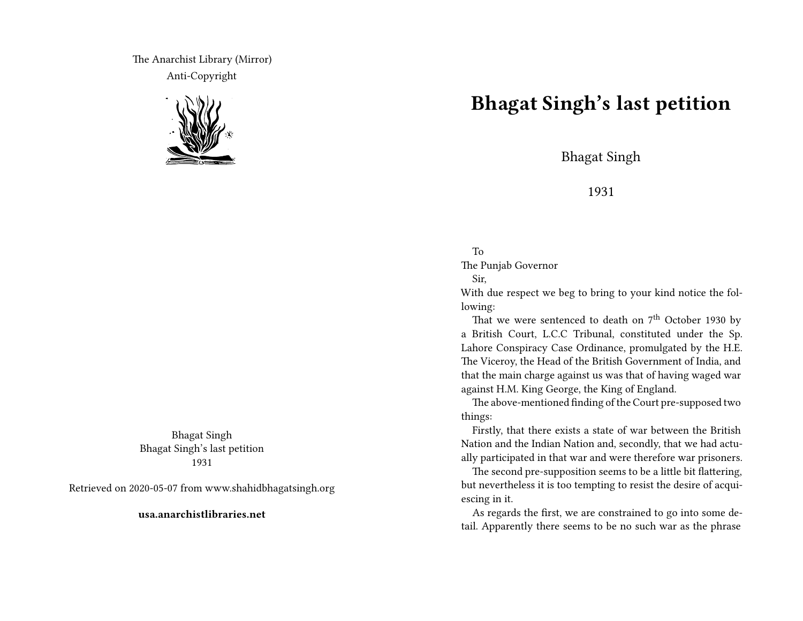The Anarchist Library (Mirror) Anti-Copyright



Bhagat Singh Bhagat Singh's last petition 1931

Retrieved on 2020-05-07 from www.shahidbhagatsingh.org

**usa.anarchistlibraries.net**

## **Bhagat Singh's last petition**

Bhagat Singh

1931

## To

The Punjab Governor

## Sir,

With due respect we beg to bring to your kind notice the following:

That we were sentenced to death on  $7<sup>th</sup>$  October 1930 by a British Court, L.C.C Tribunal, constituted under the Sp. Lahore Conspiracy Case Ordinance, promulgated by the H.E. The Viceroy, the Head of the British Government of India, and that the main charge against us was that of having waged war against H.M. King George, the King of England.

The above-mentioned finding of the Court pre-supposed two things:

Firstly, that there exists a state of war between the British Nation and the Indian Nation and, secondly, that we had actually participated in that war and were therefore war prisoners.

The second pre-supposition seems to be a little bit flattering, but nevertheless it is too tempting to resist the desire of acquiescing in it.

As regards the first, we are constrained to go into some detail. Apparently there seems to be no such war as the phrase